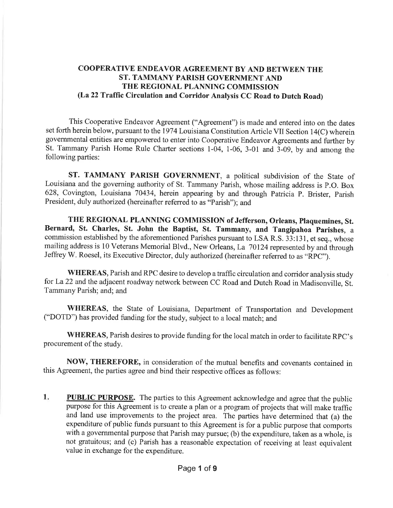# COOPERATIVE ENDEAVOR AGREEMENT BY AND BETWEEN THE ST. TAMMANY PARISH GOVERNMENT AND THE REGIONAL PLANNING COMMISSION (La 22 Traffic Circulation and Corridor Analysis CC Road to Dutch Road)

This Cooperative Endeavor Agreement ("Agreement") is made and entered into on the dates set forth herein below, pursuant to the 1974 Louisiana Constitution Article VII Section 14(C) wherein govemmental entities are empowered to enter into Cooperative Endeavor Agreements and further by St. Tammany Parish Home Rule Charter sections 1-04, 1-06, 3-01 and 3-09, by and among the following parties:

ST. TAMMANY PARISH GOVERNMENT, a political subdivision of the State of Louisiana and the governing authority of St. Tammany Parish, whose mailing address is P.O. Box 628, Covineton, Louisiana 70434, herein appearing by and through Patricia P. Brister, parish President, duly authorized (hereinafter referred to as "parish"); and

THE REGIONAL PLANNING COMMISSION of Jefferson, Orleans, Plaquemines, St. Bernard, St. Charles, St. John the Baptist, St. Tammany, and Tangipahoa Parishes, a commission established by the aforementioned Parishes pursuant to LSA R.S. 33:13 1, et seq., whose mailing address is 10 Veterans Memorial Blvd., New Orleans,La 70124 represented by and through Jeffrey W. Roesel, its Executive Director, duly authorized (hereinafter referred to as "RpC").

WHEREAS, Parish and RPC desire to develop a traffic circulation and corridor analysis study for La22 and the adjacent roadway network between CC Road and Dutch Road in Madisonville, Si. Tammany Parish; and; and

WHEREAS, the State of Louisiana, Department of Transportation and Development ("DOTD") has provided funding for the study, subject to a local match; and

WHEREAS, Parish desires to provide funding for the local match in order to facilitate RpC's procurement of the study.

NOW, THEREFORE, in consideration of the mutual benefits and covenants contained in this Agreement, the parties agree and bind their respective offices as follows:

PUBLIC PURPOSE. The parties to this Agreement acknowledge and agree that the public purpose for this Agreement is to create a plan or a program of projects that will make traffic and land use improvements to the project area. The parties have determined that (a) the expenditure of public funds pursuant to this Agreement is for a public purpose that comports with a governmental purpose that Parish may pursue; (b) the expenditure, taken as a whole, is not gratuitous; and (c) Parish has a reasonable expectation of receiving at least equivalent value in exchange for the expenditure. 1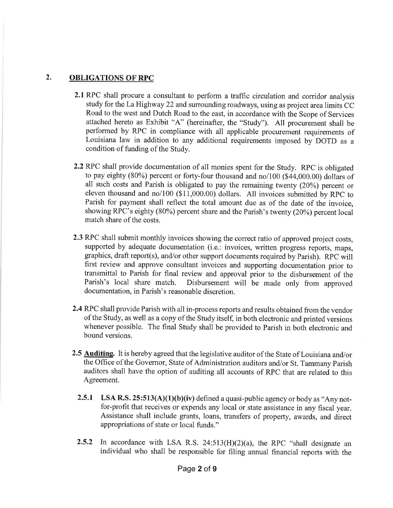# 2. OBLIGATIONS OF RPC

- 2.1 RPC shall procure a consultant to perform a traffic circulation and corridor analysis study for the La Highway 22 and surrounding roadways, using as project area limits CC Road to the west and Dutch Road to the east, in accordance with the Scope of Services attached hereto as Exhibit "A" (hereinafter, the "Study"). All procurement shall be performed by RPC in compliance with all applicable procurement requirements of Louisiana law in addition to any additional requirements imposed by DOTD as <sup>a</sup> condition of funding of the Study.
- 2.2 RPC shall provide documentation of all monies spent for the Study. RPC is obligated to pay eighty (80%) percent or forty-four thousand and no/100 (\$44,000.00) dollars of all such costs and Parish is obligated to pay the remaining twenty (20%) percent or eleven thousand and no/l00 (\$11,000.00) dollars. All invoices submitted by RPC to Parish for payment shall reflect the total amount due as of the date of the invoice, showing RPC's eighty (80%) percent share and the Parish's twenty (20%) percent local match share of the costs.
- 2.3 RPC shall submit monthly invoices showing the correct ratio of approved project costs, supported by adequate documentation (i.e.: invoices, written progress reports, maps, graphics, draft report(s), and/or other support documents required by Parish). RPC will first review and approve consultant invoices and supporting documentation prior to transmittal to Parish for final review and approval prior to the disbursement of the Disbursement will be made only from approved documentation, in Parish's reasonable discretion.
- 2.4 RPC shall provide Parish with all in-process reports and results obtained from the vendor of the Study, as well as a copy of the Study itself, in both electronic and printed versions whenever possible. The final Study shall be provided to Parish in both electronic and bound versions.
- 2.5 Auditing. It is hereby agreed that the legislative auditor of the State of Louisiana and/or the Office of the Governor, State of Administration auditors and/or St. Tammany Parish auditors shall have the option of auditing all accounts of RPC that are related to this Agreement.
	- **2.5.1** LSA R.S.  $25:513(A)(1)(b)(iv)$  defined a quasi-public agency or body as "Any notfor-profit that receives or expends any local or state assistance in any fiscal year. Assistance shall include grants, loans, transfers of property, awards, and direct appropriations of state or local funds."
	- **2.5.2** In accordance with LSA R.S.  $24:513(H)(2)(a)$ , the RPC "shall designate an individual who shall be responsible for filing annual financial reports with the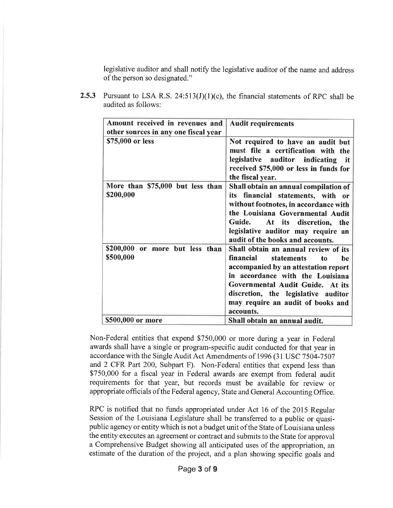legislative auditor and shall notify the legislative auditor of the name and address of the person so designated."

| Amount received in revenues and      | <b>Audit requirements</b>               |
|--------------------------------------|-----------------------------------------|
| other sources in any one fiscal year |                                         |
| \$75,000 or less                     | Not required to have an audit but       |
|                                      | must file a certification with the      |
|                                      | legislative auditor indicating it       |
|                                      | received \$75,000 or less in funds for  |
|                                      | the fiscal year.                        |
| More than \$75,000 but less than     | Shall obtain an annual compilation of   |
| \$200,000                            | its financial statements, with or       |
|                                      | without footnotes, in accordance with   |
|                                      | the Louisiana Governmental Audit        |
|                                      | Guide. At its discretion, the           |
|                                      | legislative auditor may require an      |
|                                      | audit of the books and accounts.        |
| \$200,000 or more but less than      | Shall obtain an annual review of its    |
| \$500,000                            | financial statements<br>to<br><b>he</b> |
|                                      | accompanied by an attestation report    |
|                                      | in accordance with the Louisiana        |
|                                      | Governmental Audit Guide. At its        |
|                                      | discretion, the legislative auditor     |
|                                      | may require an audit of books and       |
|                                      | accounts.                               |
| \$500,000 or more                    | Shall obtain an annual audit.           |

**2.5.3** Pursuant to LSA R.S.  $24:513(J)(1)(c)$ , the financial statements of RPC shall be audited as follows:

Non-Federal entities that expend \$750,000 or more during a year in Federal awards shall have a single or program-specific audit conducted for that year in accordance with the Single Audit Act Amendments of 1996 (31 USC 7504-7507 and 2 CFR Part 200, Subpart F). Non-Federal entities that expend less than \$750,000 for a fiscal year in Federal awards are exempt from federal audit requirements for that year, but records must be available for review or appropriate officials of the Federal agency, State and General Accounting Office.

RPC is notified that no funds appropriated under Act 16 of the 2015 Regular Session of the Louisiana Legislature shall be transferred to a public or quasipublic agency or entity which is not a budget unit of the State of Louisiana unless the entity executes an agreement or contract and submits to the State for approval a comprehensive Budget showing all anticipated uses of the appropriation, an estimate of the duration of the project, and a plan showing specific goals and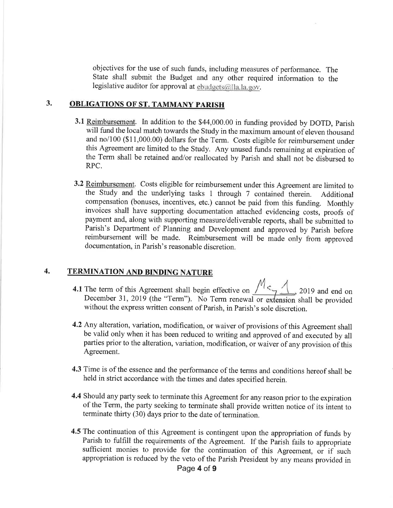objectives for the use of such funds, including measures of performance. The State shall submit the Budget and any other required information to the legislative auditor for approval at  $ebudgets @$ Ila.la.gov.

# 3. OBLIGATIONS OF ST. TAMMANY PARISH

- 3.1 Reimbursement. In addition to the \$44,000.00 in funding provided by DOTD, Parish will fund the local match towards the Study in the maximum amount of eleven thousand and no/100 (\$11,000.00) dollars for the Term. Costs eligible for reimbursement under this Agreement are limited to the Study. Any unused funds remaining at expiration of the Term shall be retained and/or reallocated by Parish and shall not be disbursed to RPC.
- 3.2 Reimbursement. Costs eligible for reimbursement under this Agreement are limited to the Study and the underlying tasks 1 through 7 contained therein. Additional compensation (bonuses, incentives, etc.) cannot be paid from this funding. Monthly invoices shall have supporting documentation attached evidencing costs, proofs of payment and, along with supporting measure/deliverable reports, shall be submitted to Parish's Department of Planning and Development and approved by Parish before reimbursement will be made. Reimbursement will be made only from approved documentation, in Parish's reasonable discretion.

# 4, TERMINATION AND BINDING NATURE

- 4.1 The term of this Agreement shall begin effective on  $\sqrt{2}$ , 2019 and end on December 31, 2019 (the "Term"). No Term renewal or extension shall be provided without the express written consent of Parish, in Parish's sole discretion.
- 4.2 Any alteration, variation, modification, or waiver of provisions of this Agreement shall be valid only when it has been reduced to writing and approved of and executed by all parties prior to the alteration, variation, modification, or waiver of any provision of this Agreement.
- 4.3 Time is of the essence and the performance of the terms and conditions hereof shall be held in strict accordance with the times and dates specified herein.
- 4.4 Should any party seek to terminate this Agreement for any reason prior to the expiration of the Term, the party seeking to terminate shall provide written notice of its intent to terminate thirty (30) days prior to the date of termination.
- 4.5 The continuation of this Agreement is contingent upon the appropriation of funds by Parish to fulfill the requirements of the Agreement. If the Parish fails to appropriate sufficient monies to provide for the continuation of this Agreement, or if such appropriation is reduced by the veto of the Parish President by any means provided in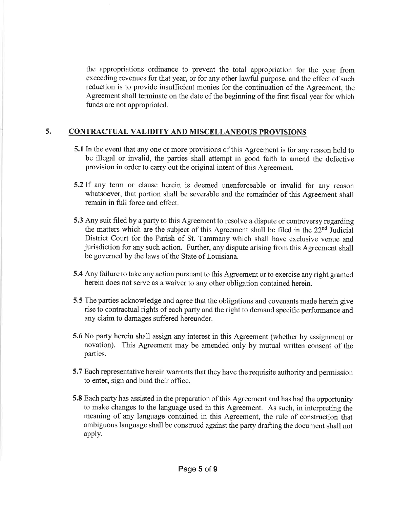the appropriations ordinance to prevent the total appropriation for the year from exceeding revenues for that year, or for any other lawful purpose, and the effect of such reduction is to provide insufficient monies for the continuation of the Agreement, the Agreement shall terminate on the date of the beginning of the first fiscal year for which funds are not appropriated.

# 5. CONTRACTUAL VALIDITY AND MISCELLANEOUS PROVISIONS

- 5.1 In the event that any one or more provisions of this Agreement is for any reason held to be illegal or invalid, the parties shall attempt in good faith to amend the defective provision in order to carry out the original intent of this Agreement.
- 5.2If any term or clause herein is deemed unenforceable or invalid for any reason whatsoever, that portion shall be severable and the remainder of this Agreement shall remain in full force and effect.
- 5.3 Any suit filed by a party to this Agreement to resolve a dispute or controversy regarding the matters which are the subject of this Agreement shall be filed in the 22"d Judicial District Court for the Parish of St. Tammany which shall have exclusive venue and jurisdiction for any such action. Further, any dispute arising from this Agreement shall be govemed by the laws of the State of Louisiana.
- 5.4 Any failure to take any action pursuant to this Agreement or to exercise any right granted herein does not serve as a waiver to any other obligation contained herein.
- 5.5 The parties acknowledge and agree that the obligations and covenants made herein give rise to contractual rights of each party and the right to demand specific performance and any claim to damages suffered hereunder.
- 5.6 No party herein shall assign any interest in this Agreement (whether by assignment or novation). This Agreement may be amended only by mutual written consent of the parties.
- 5.7 Each representative herein warrants that they have the requisite authority and permission to enter, sign and bind their office.
- 5.8 Each party has assisted in the preparation of this Agreement and has had the opportunity to make changes to the language used in this Agreement. As such, in interpreting the meaning of any language contained in this Agreement, the rule of construction that ambiguous language shall be construed against the party drafting the document shall not apply.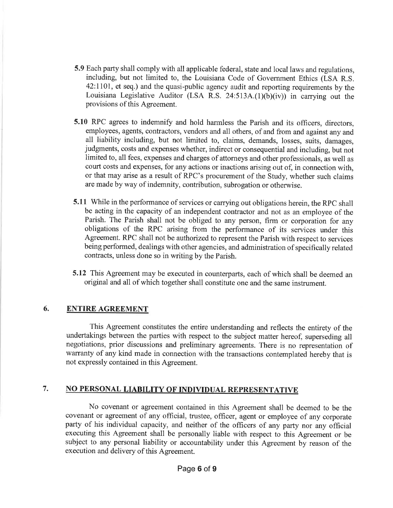- 5.9 Each party shall comply with all applicable federal, state and local laws and regulations, including, but not limited to, the Louisiana Code of Government Ethics (LSA R.S. 42:II0l, et seq.) and the quasi-public agency audit and reporting requirements by the Louisiana Legislative Auditor (LSA R.S. 24:513A.(1)(b)(iv)) in carrying out the provisions of this Agreement.
- 5.10 RPC agrees to indemnify and hold harmless the Parish and its officers, directors, employees, agents, contractors, vendors and all others, of and from and against any and all liability including, but not limited to, claims, demands, losses, suits, damages, judgments, costs and expenses whether, indirect or consequential and including, but not limited to, all fees, expenses and charges of attorneys and other professionals, as well as court costs and expenses, for any actions or inactions arising out of, in connection with, or that may arise as a result of RPC's procurement of the Study, whether such claims are made by way of indemnity, contribution, subrogation or otherwise.
- 5.11 While in the performance of services or carrying out obligations herein, the RPC shall be acting in the capacity of an independent contractor and not as an employee of the Parish. The Parish shall not be obliged to any person, firm or corporation for any obligations of the RPC arising from the performance of its services under this Agreement. RPC shall not be authorized to represent the Parish with respect to services being performed, dealings with other agencies, and administration of specifically related contracts, unless done so in writing by the Parish.
- 5.12 This Agreement may be executed in counterparts, each of which shall be deemed an original and all of which together shall constitute one and the same instrument.

# 6. ENTIRE AGREEMENT

This Agreement constitutes the entire understanding and reflects the entirety of the undertakings between the parties with respect to the subject matter hereof, superseding all negotiations, prior discussions and preliminary agreements. There is no representation of warranty of any kind made in connection with the transactions contemplated hereby that is not expressly contained in this Agreement.

# 7. NO PERSONAL LIABILITY OF INDIVIDUAL REPRESENTATIVE

No covenant or agreement contained in this Agreement shall be deemed to be the covenant or agreement of any official, trustee, officer, agent or employee of any corporate party of his individual capacity, and neither of the officers of any party nor any official executing this Agreement shall be personally liable with respect to this Agreement or be subject to any personal liability or accountability under this Agreement by reason of the execution and delivery of this Agreement.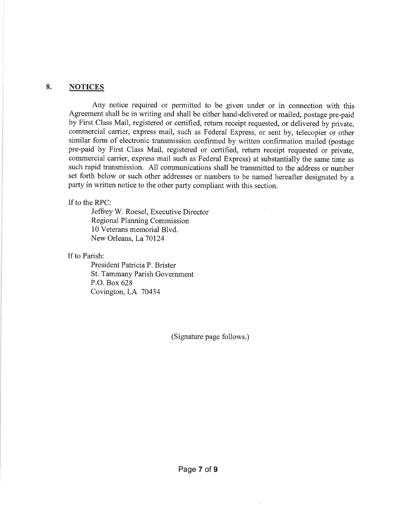## 8. NOTICES

Any notice required or permitted to be given under or in connection with this Agreement shall be in writing and shall be either hand-delivered or mailed, postage pre-paid by First Class Mail, registered or certified, return receipt requested, or delivered by private, commercial catrier, express mail, such as Federal Express, or sent by, telecopier or other similar form of electronic transmission confirmed by written confirmation mailed (postage pre-paid by First Class Mail, registered or certified, return receipt requested or private. commercial carrier, express mail such as Federal Express) at substantially the same time as such rapid transmission. All communications shall be transmitted to the address or number set forth below or such other addresses or numbers to be named hereafter designated by <sup>a</sup> party in written notice to the other party compliant with this section.

If to the RPC:

Jeffrey W. Roesel, Executive Director Regional Planning Commission 10 Veterans memorial Blvd. New Orleans, La 70124

If to Parish:

President Patricia P. Brister St. Tammany Parish Government P.O. Box 628 Covington, LA 70434

(Signature page follows.)

÷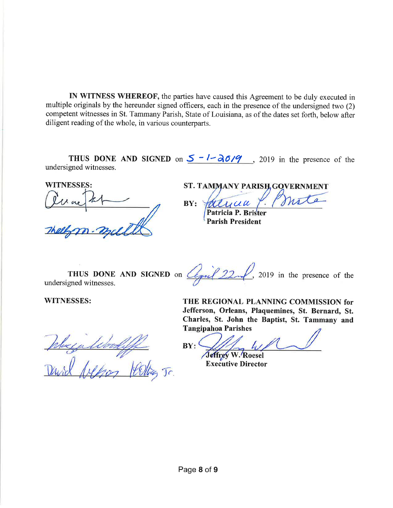IN WITNESS WHEREOF, the parties have caused this Agreement to be duly executed in multiple originals by the hereunder signed officers, each in the presence of the undersigned two (2) competent witnesses in St. Tammany Parish, State of Louisiana, as of the dates set forth, below after diligent reading of the whole, in various counterparts.

THUS DONE AND SIGNED on  $5 - 1 - \frac{\partial 6}{9}$ , 2019 in the presence of the undersigned witnesses.

WITNESSES:

**ST. TAMMANY PARISH, GOVERNMENT** 

mot

Fatuua Patricia P. Parish President  $BY:$ 

THUS DONE AND SIGNED on  $\mathbb{Z}_{\neq n}$  22 \cdot 2019 in the presence of the undersigned witnesses.

 $J<sub>c</sub>$ 

WITNESSES: THE REGIONAL PLANNING COMMISSION for Jefferson, Orleans, Plaquemines, St. Bernard, St. Charles, St. John the Baptist, St. Tammany and **Tangipahoa Parishes** 

 $BY:$ 

Jeffrey W. Roesel Executive Director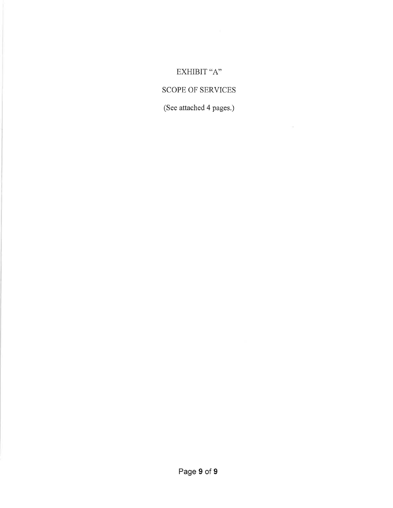# EXHIBIT "A"

# SCOPE OF SERVICES

(See attached 4 pages.)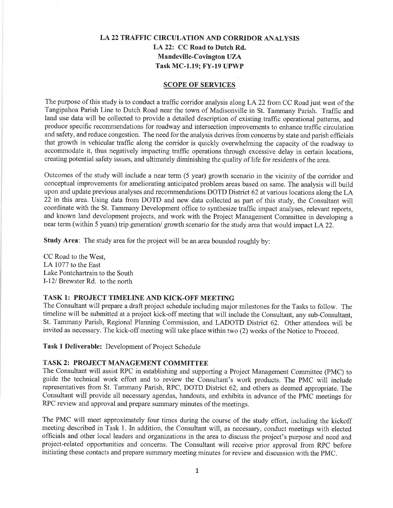# LA 22 TRAFFIC CIRCULATION AND CORRIDOR ANALYSIS LA 22: CC Road to Dutch Rd. Mandeville-Covington UZA Task MC-1.19; FY-19 UPWP

#### SCOPE OF SERVICES

The purpose of this study is to conduct a traffic corridor analysis along LA 22 from CC Road just west of the Tangipahoa Parish Line to Dutch Road near the town of Madisonville in St. Tammany Parish. Traffic and land use data will be collected to provide a detailed description of existing traffic operational patterns, and produce specific recommendations for roadway and intersection improvements to enhance traffic circulation and safety, and reduce congestion. The need for the analysis derives from concerns by state and parish officials that growth in vehicular traffic along the corridor is quickly overwhelming the capacity of the roadway to accommodate it, thus negatively impacting traffic operations through excessive delay in certain locations, creating potential safety issues, and ultimately diminishing the quality of life for residents of the area.

Outcomes of the study will include a near term (5 year) growth scenario in the vicinity of the corridor and conceptual improvements for ameliorating anticipated problem areas based on same. The analysis will build upon and update previous analyses and recommendations DOTD District 62 at various locations along the LA 22 in this area. Using data from DOTD and new data collected as part of this study, the Consultant will coordinate with the St. Tammany Development office to synthesize traffic impact analyses, relevant reports, and known land development projects, and work with the Project Management Committee in developing a near term (within 5 years) trip generation/growth scenario for the study area that would impact LA 22.

Study Area: The study area for the project will be an area bounded roughly by:

CC Road to the West, LA 1077 to the East Lake Pontchartrain to the South I-12l Brewster Rd. to the north

## TASK 1: PROJECT TIMELINE AND KICK-OFF MEETING

The Consultant will prepare a draft project schedule including major milestones for the Tasks to follow. The timeline will be submitted at a project kick-off meeting that will include the Consultant, any sub-Consultant, St. Tammany Parish, Regional Planning Commission, and LADOTD District 62. Other attendees will be invited as necessary. The kick-off meeting will take place within two (2) weeks of the Notice to Proceed.

Task I Deliverable: Development of Project Schedule

#### TASK 2: PROJECT MANAGEMENT COMMITTEE

The Consultant will assist RPC in establishing and supporting a Project Management Committee (PMC) to guide the technical work effort and to review the Consultant's work products. The PMC will include representatives from St. Tammany Parish, RPC, DOTD District 62, and others as deemed appropriate. The Consultant will provide all necessary agendas, handouts, and exhibits in advance of the PMC meetings for RPC review and approval and prepare summary minutes of the meetings.

The PMC will meet approximately four times during the course of the study effort, including the kickoff meeting described in Task 1. In addition, the Consultant will, as necessary, conduct meetings with elected officials and other local leaders and organizations in the area to discuss the project's purpose and need and project-related opportunities and concerns. The Consultant will receive prior approval from RPC before initiating these contacts and prepare sunmary meeting minutes for review and discussion with the PMC.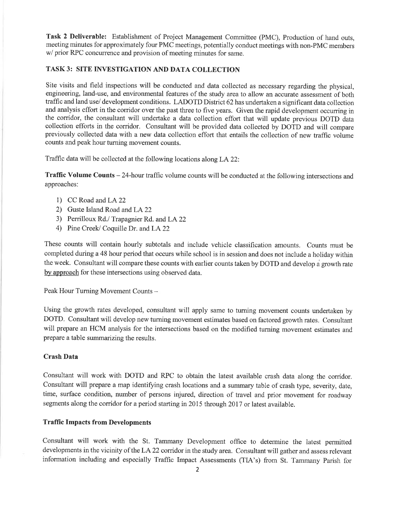Task 2 Deliverable: Establishment of Project Management Committee (PMC), Production of hand outs, meeting minutes for approximately four PMC meetings, potentially conduct meetings with non-PMC members w/ prior RPC concurrence and provision of meeting minutes for same.

## TASK3: SITE INVESTIGATION AND DATA COLLECTION

Site visits and field inspections will be conducted and data collected as necessary regarding the physical, engineering, land-use, and environmental features of the study area to allow an accurate assessment of both traffic and land use/ development conditions. LADOTD District 62 has undertaken a significant data collection and analysis effort in the corridor over the past three to five years. Given the rapid development occurring in the corridor, the consultant will undertake a data collection effort that will update previous DOTD data collection efforts in the corridor. Consultant will be provided data collected by DOTD and will compare previously collected data with a new data collection effort that entails the collection of new traffic volume counts and peak hour turning movement counts.

Traffic data will be collected at the following locations along LA22:

Traffic Volume Counts -24-hour traffic volume counts will be conducted at the following intersections and approaches:

- 1) CC Road and LA 22
- 2) Guste Island Road and LA22
- 3) Perrilloux Rd./ Trapagnier Rd. and LA 22
- 4) Pine Creek/ Coquille Dr. and LA 22

These counts will contain hourly subtotals and include vehicle classification amounts. Counts must be completed during a 48 hour period that occurs while school is in session and does not include a holiday within the week. Consultant will compare these counts with earlier counts taken by DOTD and develop a growth rate by approach for these intersections using observed data.

Peak Hour Turning Movement Counts -

Using the growth rates developed, consultant will apply same to tuming movement counts undertaken by DOTD. Consultant will develop new turning movement estimates based on factored growth rates. Consultant will prepare an HCM analysis for the intersections based on the modified turning movement estimates and prepare a table summarizing the results.

## Crash Data

Consultant will work with DOTD and RPC to obtain the latest available crash data along the corridor. Consultant will prepare a map identifying crash locations and a summary table of crash type, severity, date, time, surface condition, number of persons injured, direction of travel and prior movement for roadway segments along the corridor for a period starting in20l5 through 2017 or latest available.

## Traffic Impacts from Developments

Consultant will work with the St. Tammany Development office to determine the latest permitted developments in the vicinity of the LA 22 corridor in the study area. Consultant will gather and assess relevant information including and especially Traffic Impact Assessments (TIA's) from St. Tammany Parish for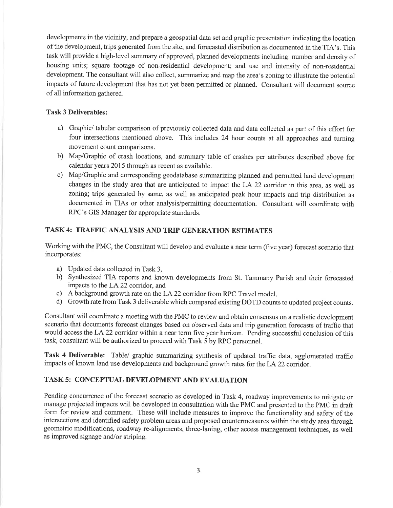developments in the vicinity, and prepare a geospatial data set and graphic presentation indicating the location of the development, trips generated from the site, and forecasted distribution as documented in the TIA's. This task will provide a high-level summary of approved, planned developments including: number and density of housing units; square footage of non-residential development; and use and intensity of non-residential development. The consultant will also collect, summarize and map the area's zoning to illustrate the potential impacts of future development that has not yet been permitted or planned. Consultant will document source of all information gathered.

## Task 3 Deliverables:

- a) Graphic/tabular comparison of previously collected data and data collected as part of this effort for four intersections mentioned above. This includes 24 hour counts at all approaches and turning movement count comparisons.
- b) Map/Graphic of crash locations, and summary table of crashes per attributes described above for calendar years 2015 through as recent as available.
- c) Map/Graphic and corresponding geodatabase summarizing planned and permitted land development changes in the study area that are anticipated to impact the LA 22 corridor in this area, as well as zoning; trips generated by same, as well as anticipated peak hour impacts and trip distribution as documented in TIAs or other analysis/permitting documentation. Consultant will coordinate with RPC's GIS Manager for appropriate standards.

## TASK 4: TRAFFIC ANALYSIS AND TRIP GENERATION ESTIMATES

Working with the PMC, the Consultant will develop and evaluate a neat term (five year) forecast scenario that incorporates:

- a) Updated data collected in Task 3,
- b) Synthesized TIA reports and known developments from St. Tammany Parish and their forecasted impacts to the LA 22 corridor, and
- c) A background growth rate on the LA 22 corridor from RPC Travel model.
- d) Growth rate from Task 3 deliverable which compared existing DOTD counts to updated project counts.

Consultant will coordinate a meeting with the PMC to review and obtain consensus on a realistic development scenario that documents forecast changes based on observed data and trip generation forecasts of traffic that would access the LA 22 corridor within a near term five year horizon. Pending successful conclusion of this task, consultant will be authorized to proceed with Task 5 by RPC personnel.

Task 4 Deliverable: Table/ graphic summarizing synthesis of updated traffic data, agglomerated traffic impacts of known land use developments and background growth rates for the LA 22 conidor.

## TASK 5: CONCEPTUAL DEVELOPMENT AND EVALUATION

Pending concurrence of the forecast scenario as developed in Task 4, roadway improvements to mitigate or manage projected impacts will be developed in consultation with the PMC and presented to the PMC in draft form for review and comment. These will include measures to improve the functionality and safety of the intersections and identified safety problem areas and proposed countermeasures within the study area through geometric modifications, roadway re-alignments, three-laning, other access management techniques, as well as improved signage and/or striping.